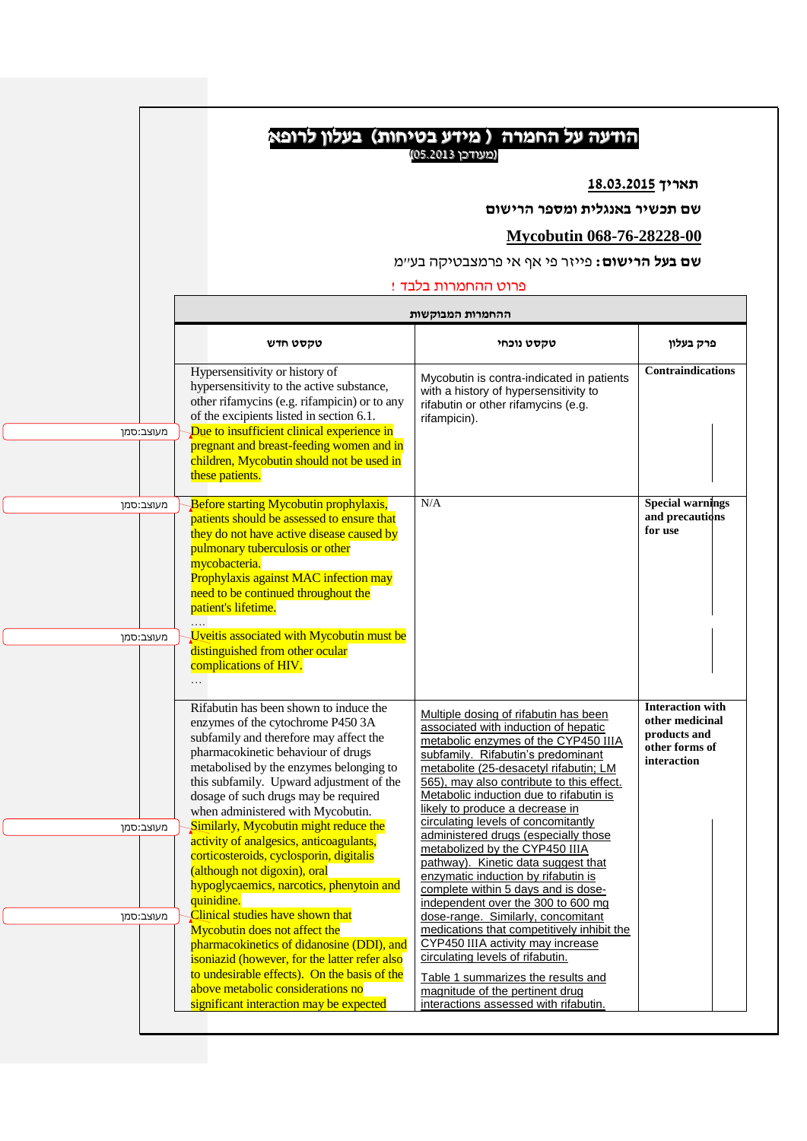| שם תכשיר באנגלית ומספר הרישום<br><b>Mycobutin 068-76-28228-00</b><br><b>שם בעל הרישום:</b> פייזר פי אף אי פרמצבטיקה בע״מ<br>פרוט ההחמרות בלבד !<br>ההחמרות המבוקשות<br>טקסט חדש<br>טקסט נוכחי<br>Hypersensitivity or history of<br>Mycobutin is contra-indicated in patients<br>hypersensitivity to the active substance,<br>with a history of hypersensitivity to<br>other rifamycins (e.g. rifampicin) or to any<br>rifabutin or other rifamycins (e.g.<br>of the excipients listed in section 6.1.<br>rifampicin).<br>Due to insufficient clinical experience in<br>מעוצב:סמן<br>pregnant and breast-feeding women and in<br>children, Mycobutin should not be used in<br>these patients.<br>N/A<br><b>Before starting Mycobutin prophylaxis,</b><br><b>Special warnings</b><br>מעוצב:סמן<br>patients should be assessed to ensure that<br>for use<br>they do not have active disease caused by<br>pulmonary tuberculosis or other<br>mycobacteria.<br>Prophylaxis against MAC infection may<br>need to be continued throughout the<br>patient's lifetime.<br>Uveitis associated with Mycobutin must be<br>מעוצב:סמן<br>distinguished from other ocular<br>complications of HIV.<br>$\cdots$<br>Rifabutin has been shown to induce the<br>Multiple dosing of rifabutin has been<br>enzymes of the cytochrome P450 3A<br>associated with induction of hepatic<br>subfamily and therefore may affect the<br>metabolic enzymes of the CYP450 IIIA<br>pharmacokinetic behaviour of drugs<br>subfamily. Rifabutin's predominant<br>metabolised by the enzymes belonging to<br>metabolite (25-desacetyl rifabutin; LM<br>this subfamily. Upward adjustment of the<br>565), may also contribute to this effect.<br>Metabolic induction due to rifabutin is<br>dosage of such drugs may be required<br>likely to produce a decrease in<br>when administered with Mycobutin.<br>circulating levels of concomitantly<br>Similarly, Mycobutin might reduce the<br>מעוצב:סמן<br>administered drugs (especially those<br>activity of analgesics, anticoagulants,<br>metabolized by the CYP450 IIIA<br>corticosteroids, cyclosporin, digitalis<br>pathway). Kinetic data suggest that<br>(although not digoxin), oral<br>enzymatic induction by rifabutin is<br>hypoglycaemics, narcotics, phenytoin and<br>complete within 5 days and is dose-<br>quinidine.<br>independent over the 300 to 600 mg<br>Clinical studies have shown that<br>מעוצב:סמן<br>dose-range. Similarly, concomitant |                               |                                            | תאריך 18.03.2015                                                                            |
|---------------------------------------------------------------------------------------------------------------------------------------------------------------------------------------------------------------------------------------------------------------------------------------------------------------------------------------------------------------------------------------------------------------------------------------------------------------------------------------------------------------------------------------------------------------------------------------------------------------------------------------------------------------------------------------------------------------------------------------------------------------------------------------------------------------------------------------------------------------------------------------------------------------------------------------------------------------------------------------------------------------------------------------------------------------------------------------------------------------------------------------------------------------------------------------------------------------------------------------------------------------------------------------------------------------------------------------------------------------------------------------------------------------------------------------------------------------------------------------------------------------------------------------------------------------------------------------------------------------------------------------------------------------------------------------------------------------------------------------------------------------------------------------------------------------------------------------------------------------------------------------------------------------------------------------------------------------------------------------------------------------------------------------------------------------------------------------------------------------------------------------------------------------------------------------------------------------------------------------------------------------------------------------------------------------------------------------------------------------------------------------------------------------------------------------------------------------------------------|-------------------------------|--------------------------------------------|---------------------------------------------------------------------------------------------|
|                                                                                                                                                                                                                                                                                                                                                                                                                                                                                                                                                                                                                                                                                                                                                                                                                                                                                                                                                                                                                                                                                                                                                                                                                                                                                                                                                                                                                                                                                                                                                                                                                                                                                                                                                                                                                                                                                                                                                                                                                                                                                                                                                                                                                                                                                                                                                                                                                                                                                 |                               |                                            |                                                                                             |
|                                                                                                                                                                                                                                                                                                                                                                                                                                                                                                                                                                                                                                                                                                                                                                                                                                                                                                                                                                                                                                                                                                                                                                                                                                                                                                                                                                                                                                                                                                                                                                                                                                                                                                                                                                                                                                                                                                                                                                                                                                                                                                                                                                                                                                                                                                                                                                                                                                                                                 |                               |                                            |                                                                                             |
|                                                                                                                                                                                                                                                                                                                                                                                                                                                                                                                                                                                                                                                                                                                                                                                                                                                                                                                                                                                                                                                                                                                                                                                                                                                                                                                                                                                                                                                                                                                                                                                                                                                                                                                                                                                                                                                                                                                                                                                                                                                                                                                                                                                                                                                                                                                                                                                                                                                                                 |                               |                                            |                                                                                             |
|                                                                                                                                                                                                                                                                                                                                                                                                                                                                                                                                                                                                                                                                                                                                                                                                                                                                                                                                                                                                                                                                                                                                                                                                                                                                                                                                                                                                                                                                                                                                                                                                                                                                                                                                                                                                                                                                                                                                                                                                                                                                                                                                                                                                                                                                                                                                                                                                                                                                                 |                               |                                            |                                                                                             |
|                                                                                                                                                                                                                                                                                                                                                                                                                                                                                                                                                                                                                                                                                                                                                                                                                                                                                                                                                                                                                                                                                                                                                                                                                                                                                                                                                                                                                                                                                                                                                                                                                                                                                                                                                                                                                                                                                                                                                                                                                                                                                                                                                                                                                                                                                                                                                                                                                                                                                 |                               |                                            |                                                                                             |
|                                                                                                                                                                                                                                                                                                                                                                                                                                                                                                                                                                                                                                                                                                                                                                                                                                                                                                                                                                                                                                                                                                                                                                                                                                                                                                                                                                                                                                                                                                                                                                                                                                                                                                                                                                                                                                                                                                                                                                                                                                                                                                                                                                                                                                                                                                                                                                                                                                                                                 |                               |                                            |                                                                                             |
|                                                                                                                                                                                                                                                                                                                                                                                                                                                                                                                                                                                                                                                                                                                                                                                                                                                                                                                                                                                                                                                                                                                                                                                                                                                                                                                                                                                                                                                                                                                                                                                                                                                                                                                                                                                                                                                                                                                                                                                                                                                                                                                                                                                                                                                                                                                                                                                                                                                                                 |                               |                                            | פרק בעלון                                                                                   |
|                                                                                                                                                                                                                                                                                                                                                                                                                                                                                                                                                                                                                                                                                                                                                                                                                                                                                                                                                                                                                                                                                                                                                                                                                                                                                                                                                                                                                                                                                                                                                                                                                                                                                                                                                                                                                                                                                                                                                                                                                                                                                                                                                                                                                                                                                                                                                                                                                                                                                 |                               |                                            | <b>Contraindications</b>                                                                    |
|                                                                                                                                                                                                                                                                                                                                                                                                                                                                                                                                                                                                                                                                                                                                                                                                                                                                                                                                                                                                                                                                                                                                                                                                                                                                                                                                                                                                                                                                                                                                                                                                                                                                                                                                                                                                                                                                                                                                                                                                                                                                                                                                                                                                                                                                                                                                                                                                                                                                                 |                               |                                            |                                                                                             |
|                                                                                                                                                                                                                                                                                                                                                                                                                                                                                                                                                                                                                                                                                                                                                                                                                                                                                                                                                                                                                                                                                                                                                                                                                                                                                                                                                                                                                                                                                                                                                                                                                                                                                                                                                                                                                                                                                                                                                                                                                                                                                                                                                                                                                                                                                                                                                                                                                                                                                 |                               |                                            | and precautions                                                                             |
|                                                                                                                                                                                                                                                                                                                                                                                                                                                                                                                                                                                                                                                                                                                                                                                                                                                                                                                                                                                                                                                                                                                                                                                                                                                                                                                                                                                                                                                                                                                                                                                                                                                                                                                                                                                                                                                                                                                                                                                                                                                                                                                                                                                                                                                                                                                                                                                                                                                                                 |                               |                                            |                                                                                             |
|                                                                                                                                                                                                                                                                                                                                                                                                                                                                                                                                                                                                                                                                                                                                                                                                                                                                                                                                                                                                                                                                                                                                                                                                                                                                                                                                                                                                                                                                                                                                                                                                                                                                                                                                                                                                                                                                                                                                                                                                                                                                                                                                                                                                                                                                                                                                                                                                                                                                                 |                               |                                            | <b>Interaction with</b><br>other medicinal<br>products and<br>other forms of<br>interaction |
|                                                                                                                                                                                                                                                                                                                                                                                                                                                                                                                                                                                                                                                                                                                                                                                                                                                                                                                                                                                                                                                                                                                                                                                                                                                                                                                                                                                                                                                                                                                                                                                                                                                                                                                                                                                                                                                                                                                                                                                                                                                                                                                                                                                                                                                                                                                                                                                                                                                                                 |                               |                                            |                                                                                             |
| CYP450 IIIA activity may increase<br>pharmacokinetics of didanosine (DDI), and<br>circulating levels of rifabutin.<br>isoniazid (however, for the latter refer also<br>to undesirable effects). On the basis of the<br>Table 1 summarizes the results and                                                                                                                                                                                                                                                                                                                                                                                                                                                                                                                                                                                                                                                                                                                                                                                                                                                                                                                                                                                                                                                                                                                                                                                                                                                                                                                                                                                                                                                                                                                                                                                                                                                                                                                                                                                                                                                                                                                                                                                                                                                                                                                                                                                                                       | Mycobutin does not affect the | medications that competitively inhibit the |                                                                                             |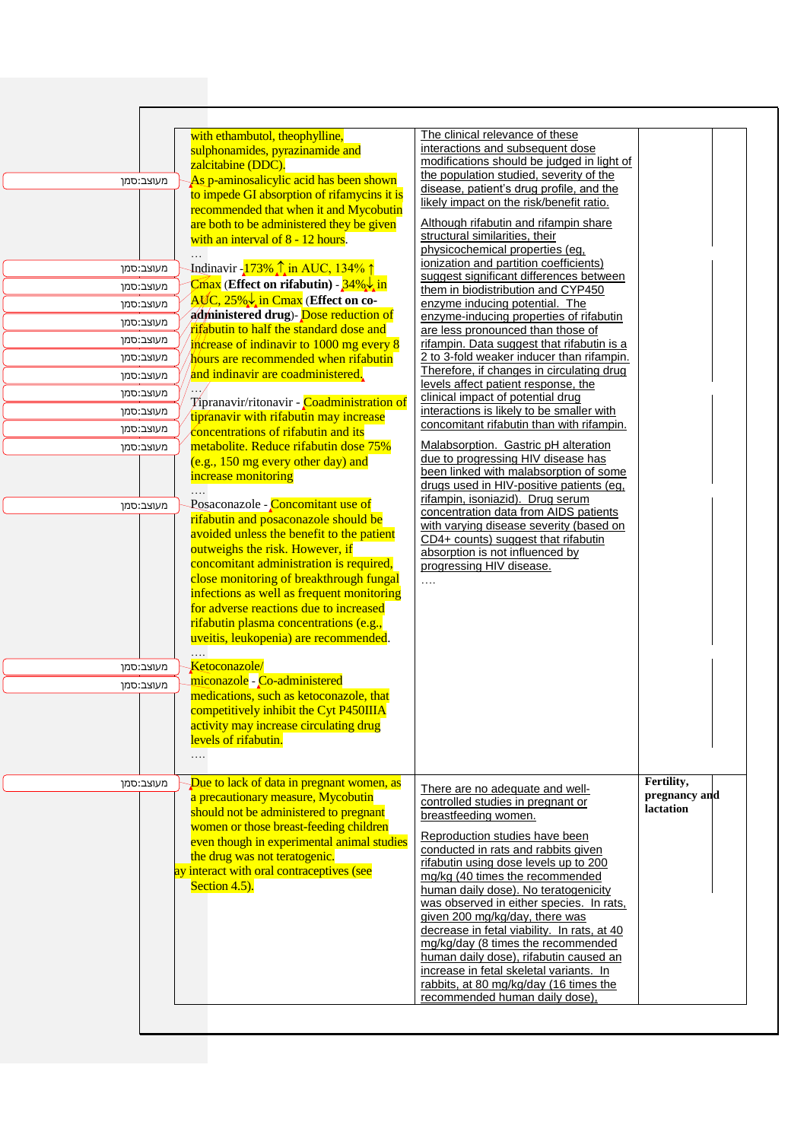| מעוצב:סמן              | with ethambutol, theophylline,<br>sulphonamides, pyrazinamide and<br>zalcitabine (DDC).<br>As p-aminosalicylic acid has been shown                                                                                                                                                                                                                                                   | The clinical relevance of these<br>interactions and subsequent dose<br>modifications should be judged in light of<br>the population studied, severity of the<br>disease, patient's drug profile, and the                                                                                                                        |                            |
|------------------------|--------------------------------------------------------------------------------------------------------------------------------------------------------------------------------------------------------------------------------------------------------------------------------------------------------------------------------------------------------------------------------------|---------------------------------------------------------------------------------------------------------------------------------------------------------------------------------------------------------------------------------------------------------------------------------------------------------------------------------|----------------------------|
|                        | to impede GI absorption of rifamycins it is<br>recommended that when it and Mycobutin<br>are both to be administered they be given<br>with an interval of 8 - 12 hours.                                                                                                                                                                                                              | likely impact on the risk/benefit ratio.<br>Although rifabutin and rifampin share<br>structural similarities, their<br>physicochemical properties (eg.                                                                                                                                                                          |                            |
| מעוצב:סמן              | Indinavir -173% 1 in AUC, 134% 1                                                                                                                                                                                                                                                                                                                                                     | ionization and partition coefficients)                                                                                                                                                                                                                                                                                          |                            |
| מעוצב:סמן              | $\overline{\text{Cmax}}$ (Effect on rifabutin) - $34\% \downarrow \text{in}$                                                                                                                                                                                                                                                                                                         | suggest significant differences between<br>them in biodistribution and CYP450                                                                                                                                                                                                                                                   |                            |
| מעוצב:סמן              | $\overline{A\mathcal{K}}C$ , 25% $\downarrow$ in Cmax (Effect on co-                                                                                                                                                                                                                                                                                                                 | enzyme inducing potential. The                                                                                                                                                                                                                                                                                                  |                            |
| מעוצב:סמן              | administered drug)- Dose reduction of<br>rifabutin to half the standard dose and                                                                                                                                                                                                                                                                                                     | enzyme-inducing properties of rifabutin<br>are less pronounced than those of                                                                                                                                                                                                                                                    |                            |
| מעוצב:סמן              | increase of indinavir to 1000 mg every 8                                                                                                                                                                                                                                                                                                                                             | rifampin. Data suggest that rifabutin is a                                                                                                                                                                                                                                                                                      |                            |
| מעוצב:סמן              | hours are recommended when rifabutin                                                                                                                                                                                                                                                                                                                                                 | 2 to 3-fold weaker inducer than rifampin.                                                                                                                                                                                                                                                                                       |                            |
| מעוצב:סמן              | and indinavir are coadministered.                                                                                                                                                                                                                                                                                                                                                    | Therefore, if changes in circulating drug<br>levels affect patient response, the                                                                                                                                                                                                                                                |                            |
| מעוצב:סמן              | Tipranavir/ritonavir - Coadministration of                                                                                                                                                                                                                                                                                                                                           | clinical impact of potential drug                                                                                                                                                                                                                                                                                               |                            |
| מעוצב:סמן              | tipranavir with rifabutin may increase                                                                                                                                                                                                                                                                                                                                               | interactions is likely to be smaller with<br>concomitant rifabutin than with rifampin.                                                                                                                                                                                                                                          |                            |
| מעוצב:סמן              | concentrations of rifabutin and its                                                                                                                                                                                                                                                                                                                                                  |                                                                                                                                                                                                                                                                                                                                 |                            |
| מעוצב:סמן<br>מעוצב:סמן | metabolite. Reduce rifabutin dose 75%<br>(e.g., 150 mg every other day) and<br>increase monitoring<br>.<br>Posaconazole - Concomitant use of                                                                                                                                                                                                                                         | Malabsorption. Gastric pH alteration<br>due to progressing HIV disease has<br>been linked with malabsorption of some<br>drugs used in HIV-positive patients (eg,<br>rifampin, isoniazid). Drug serum                                                                                                                            |                            |
|                        | rifabutin and posaconazole should be<br>avoided unless the benefit to the patient<br>outweighs the risk. However, if<br>concomitant administration is required,<br>close monitoring of breakthrough fungal<br>infections as well as frequent monitoring<br>for adverse reactions due to increased<br>rifabutin plasma concentrations (e.g.,<br>uveitis, leukopenia) are recommended. | with varying disease severity (based on<br>CD4+ counts) suggest that rifabutin<br>absorption is not influenced by<br>progressing HIV disease.<br>$\ldots$                                                                                                                                                                       |                            |
| מעוצב:סמן              | Ketoconazole/                                                                                                                                                                                                                                                                                                                                                                        |                                                                                                                                                                                                                                                                                                                                 |                            |
| מעוצב:סמן              | miconazole - Co-administered<br>medications, such as ketoconazole, that<br>competitively inhibit the Cyt P450IIIA<br>activity may increase circulating drug<br>levels of rifabutin.<br>$\cdots$                                                                                                                                                                                      |                                                                                                                                                                                                                                                                                                                                 |                            |
| מעוצב:סמן              | Due to lack of data in pregnant women, as                                                                                                                                                                                                                                                                                                                                            | There are no adequate and well-                                                                                                                                                                                                                                                                                                 | Fertility,                 |
|                        | a precautionary measure, Mycobutin<br>should not be administered to pregnant                                                                                                                                                                                                                                                                                                         | controlled studies in pregnant or                                                                                                                                                                                                                                                                                               | pregnancy and<br>lactation |
|                        | women or those breast-feeding children                                                                                                                                                                                                                                                                                                                                               | breastfeeding women.                                                                                                                                                                                                                                                                                                            |                            |
|                        | even though in experimental animal studies                                                                                                                                                                                                                                                                                                                                           | Reproduction studies have been<br>conducted in rats and rabbits given                                                                                                                                                                                                                                                           |                            |
|                        | the drug was not teratogenic.<br>ay interact with oral contraceptives (see                                                                                                                                                                                                                                                                                                           | rifabutin using dose levels up to 200                                                                                                                                                                                                                                                                                           |                            |
|                        | Section 4.5).                                                                                                                                                                                                                                                                                                                                                                        | mg/kg (40 times the recommended<br>human daily dose). No teratogenicity<br>was observed in either species. In rats,<br>given 200 mg/kg/day, there was<br>decrease in fetal viability. In rats, at 40<br>mg/kg/day (8 times the recommended<br>human daily dose), rifabutin caused an<br>increase in fetal skeletal variants. In |                            |
|                        |                                                                                                                                                                                                                                                                                                                                                                                      | rabbits, at 80 mg/kg/day (16 times the<br>recommended human daily dose),                                                                                                                                                                                                                                                        |                            |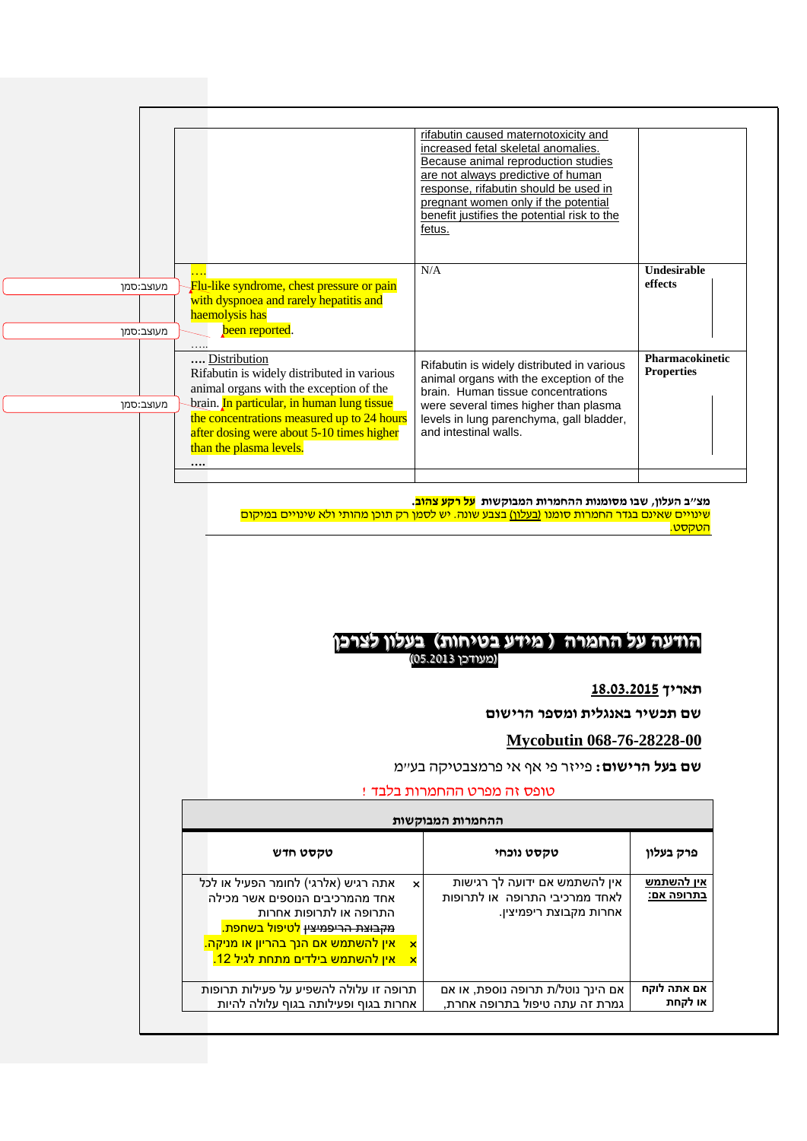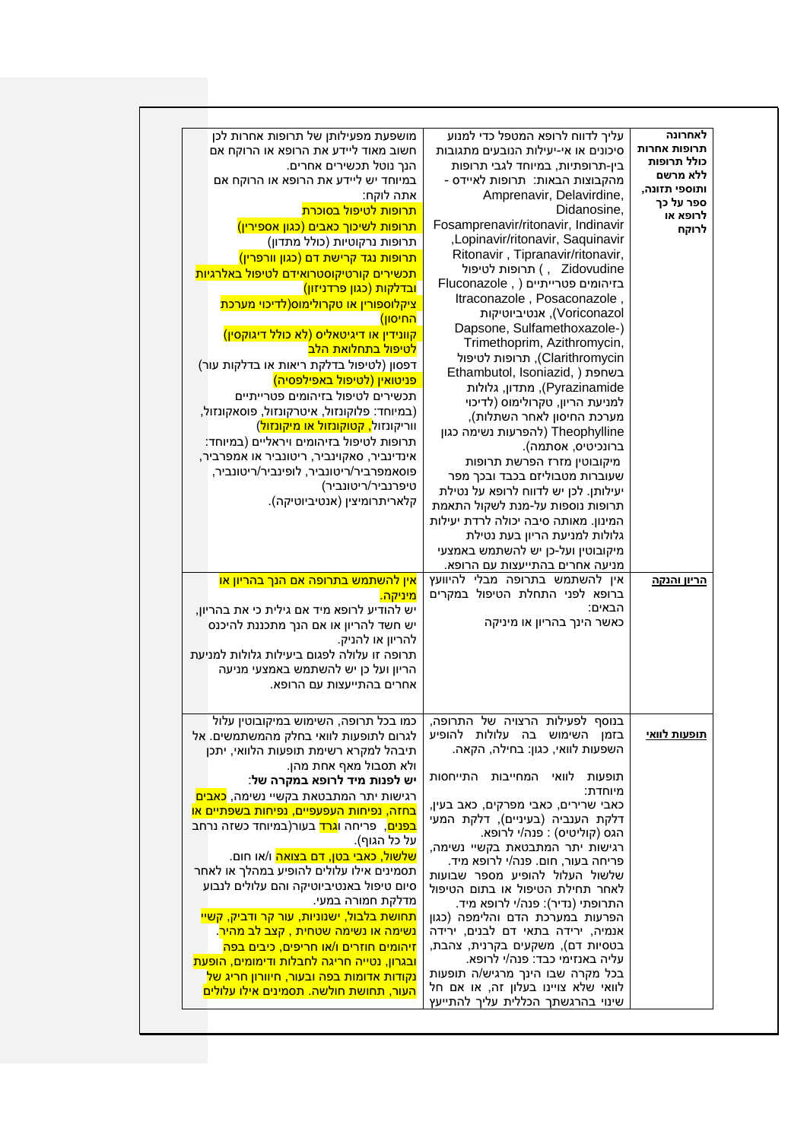| לאחרונה<br>תרופות אחרות<br>כולל תרופות<br>ללא מרשם<br>ותוספי תזונה,<br>ספר על כך<br>לרופא או<br>לרוקח<br><u>הריון והנקה</u> | עליך לדווח לרופא המטפל כדי למנוע<br>סיכונים או אי-יעילות הנובעים מתגובות<br>בין-תרופתיות, במיוחד לגבי תרופות<br>מהקבוצות הבאות: תרופות לאיידס -<br>Amprenavir, Delavirdine,<br>Didanosine,<br>Fosamprenavir/ritonavir, Indinavir<br>,Lopinavir/ritonavir, Saquinavir<br>Ritonavir, Tipranavir/ritonavir,<br>חרופות לטיפול (, Zidovudine<br>בזיהומים פטרייתיים (, Fluconazole<br>ltraconazole, Posaconazole,<br>Voriconazol), אנטיביוטיקות<br>Dapsone, Sulfamethoxazole-)<br>Trimethoprim, Azithromycin,<br>Clarithromycin), תרופות לטיפול<br>Ethambutol, Isoniazid, ) בשחפת<br>Pyrazinamide), מתדון, גלולות<br>למניעת הריון, טקרולימוס (לדיכוי<br>מערכת החיסון לאחר השתלות),<br>Theophylline (להפרעות נשימה כגון<br>ברונכיטיס, אסתמה).<br>מיקובוטין מזרז הפרשת תרופות<br>שעוברות מטבוליזם בכבד ובכך מפר<br>יעילותן. לכן יש לדווח לרופא על נטילת<br>תרופות נוספות על-מנת לשקול התאמת<br>המינון. מאותה סיבה יכולה לרדת יעילות<br>גלולות למניעת הריון בעת נטילת<br>מיקובוטין ועל-כן יש להשתמש באמצעי<br>מניעה אחרים בהתייעצות עם הרופא.<br>אין להשתמש בתרופה מבלי להיוועץ<br>ברופא לפני התחלת הטיפול במקרים<br>הבאים:<br>כאשר הינך בהריון או מיניקה | מושפעת מפעילותן של תרופות אחרות לכן<br>חשוב מאוד ליידע את הרופא או הרוקח אם<br>הנך נוטל תכשירים אחרים.<br>במיוחד יש ליידע את הרופא או הרוקח אם<br>אתה לוקח:<br><mark>תרופות לטיפול בסוכרת</mark><br><mark>תרופות לשיכוך כאבים (כגון אספירין)</mark><br>תרופות נרקוטיות (כולל מתדון)<br><mark>תרופות נגד קרישת דם (כגון וורפרין)</mark><br>תכשירים קורטיקוסטרואידם לטיפול באלרגיות<br><mark>ובדלקות (כגון פרדניזון)</mark><br><mark>ציקלוספורין או טקרולימוס(לדיכוי מערכת</mark><br><mark>החיסון)</mark><br>(לא כולל דיגוקסין) קוונידין או דיגיטאליס<br><mark>לטיפול בתחלואת הלב</mark><br>דפסון (לטיפול בדלקת ריאות או בדלקות עור)<br><mark>פניטואין (לטיפול באפילפסיה)</mark><br>תכשירים לטיפול בזיהומים פטרייתיים<br>(במיוחד: פלוקונזול, איטרקונזול, פוסאקונזול,<br>ווריקונזול <mark>, קטוקונזול או מיקונזול</mark> )<br>תרופות לטיפול בזיהומים ויראליים (במיוחד:<br>אינדינביר, סאקוינביר, ריטונביר או אמפרביר,<br>פוסאמפרביר/ריטונביר, לופינביר/ריטונביר,<br>טיפרנביר/ריטונביר)<br>קלאריתרומיצין (אנטיביוטיקה).<br><mark>אין להשתמש בתרופה אם הנך בהריון או</mark><br><mark>מיניקה.</mark><br>יש להודיע לרופא מיד אם גילית כי את בהריון,<br>יש חשד להריון או אם הנך מתכננת להיכנס<br>להריון או להניק.<br>תרופה זו עלולה לפגום ביעילות גלולות למניעת<br>הריון ועל כן יש להשתמש באמצעי מניעה<br>אחרים בהתייעצות עם הרופא. |
|-----------------------------------------------------------------------------------------------------------------------------|--------------------------------------------------------------------------------------------------------------------------------------------------------------------------------------------------------------------------------------------------------------------------------------------------------------------------------------------------------------------------------------------------------------------------------------------------------------------------------------------------------------------------------------------------------------------------------------------------------------------------------------------------------------------------------------------------------------------------------------------------------------------------------------------------------------------------------------------------------------------------------------------------------------------------------------------------------------------------------------------------------------------------------------------------------------------------------------------------------------------------------------------------|----------------------------------------------------------------------------------------------------------------------------------------------------------------------------------------------------------------------------------------------------------------------------------------------------------------------------------------------------------------------------------------------------------------------------------------------------------------------------------------------------------------------------------------------------------------------------------------------------------------------------------------------------------------------------------------------------------------------------------------------------------------------------------------------------------------------------------------------------------------------------------------------------------------------------------------------------------------------------------------------------------------------------------------------------------------------------------------------------------------------------------------------------------------------------------------------------------------------------------------------------------------------------------------------------------------------------|
| <u>תופעות לוואי</u>                                                                                                         | בנוסף לפעילות הרצויה של התרופה,<br>בזמן השימוש בה עלולות להופיע<br>השפעות לוואי, כגון: בחילה, הקאה.<br>לוואי המחייבות התייחסות<br>תופעות<br>מיוחדת:<br>כאבי שרירים, כאבי מפרקים, כאב בעין,<br>דלקת הענביה (בעיניים), דלקת המעי<br>הגס (קוליטיס) : פנה/י לרופא.<br>רגישות יתר המתבטאת בקשיי נשימה,<br>פריחה בעור, חום. פנה/י לרופא מיד.<br>שלשול העלול להופיע מספר שבועות<br>לאחר תחילת הטיפול או בתום הטיפול<br>התרופתי (נדיר): פנה/י לרופא מיד.<br>הפרעות במערכת הדם והלימפה (כגון<br>אנמיה, ירידה בתאי דם לבנים, ירידה<br>בטסיות דם), משקעים בקרנית, צהבת,<br>עליה באנזימי כבד: פנה/י לרופא.                                                                                                                                                                                                                                                                                                                                                                                                                                                                                                                                                   | כמו בכל תרופה, השימוש במיקובוטין עלול<br>לגרום לתופעות לוואי בחלק מהמשתמשים. אל<br>תיבהל למקרא רשימת תופעות הלוואי, יתכן<br>ולא תסבול מאף אחת מהן.<br>יש לפנות מיד לרופא במקרה של:<br>רגישות יתר המתבטאת בקשיי נשימה, <mark>כאבים</mark><br><u>בחזה, נפיחות העפעפיים, נפיחות בשפתיים או</u><br><mark>בפנים</mark> ,  פריחה ו <mark>גרד</mark> בעור(במיוחד כשזה נרחב<br>על כל הגוף).<br><mark>שלשול, כאבי בטן, דם בצואה</mark> ו/או חום.<br>תסמינים אילו עלולים להופיע במהלך או לאחר<br>סיום טיפול באנטיביוטיקה והם עלולים לנבוע<br>מדלקת חמורה במעי.<br><mark>תחושת בלבול, ישנוניות, עור קר ודביק, קשיי</mark><br><u>נשימה או נשימה שטחית , קצב לב מהיר</u> .<br><mark>זיהומים חוזרים ו/או חריפים, כיבים בפה</mark><br><u>ובגרון, נטייה חריגה לחבלות ודימומים, הופעת</u>                                                                                                                                                                                                                                                                                                                                                                                                                                                                                                                                                   |